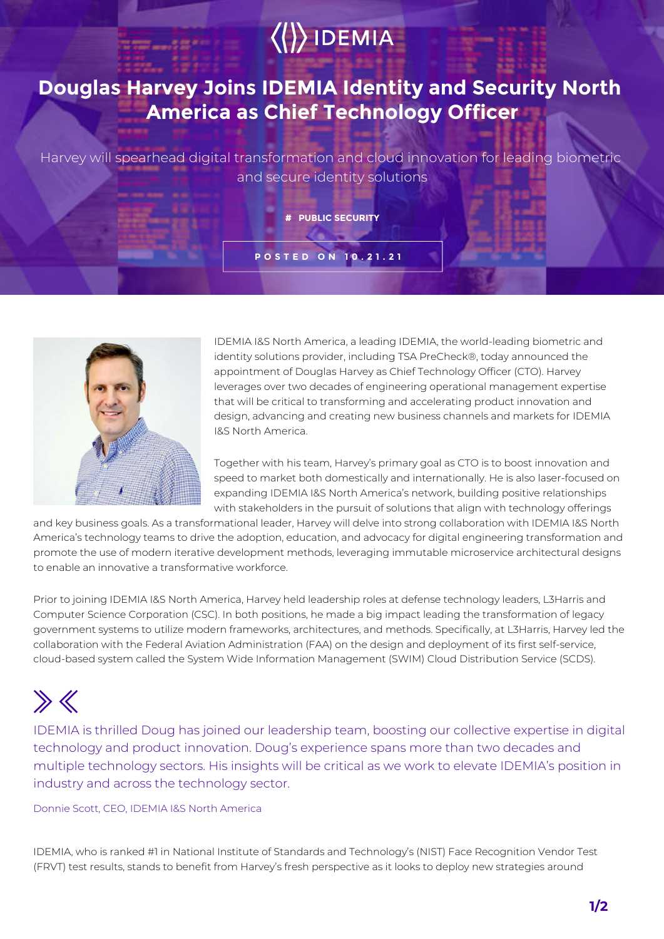## $\langle\langle\rangle\rangle$  IDEMIA

## **Douglas Harvey Joins IDEMIA Identity and Security North America as Chief Technology Officer**

Harvey will spearhead digital transformation and cloud innovation for leading biometric and secure identity solutions

## **# PUBLIC SECURITY**

**POSTED ON 10.21.21**



IDEMIA I&S North America, a leading IDEMIA, the world-leading biometric and identity solutions provider, including TSA PreCheck®, today announced the appointment of Douglas Harvey as Chief Technology Officer (CTO). Harvey leverages over two decades of engineering operational management expertise that will be critical to transforming and accelerating product innovation and design, advancing and creating new business channels and markets for IDEMIA I&S North America.

Together with his team, Harvey's primary goal as CTO is to boost innovation and speed to market both domestically and internationally. He is also laser-focused on expanding IDEMIA I&S North America's network, building positive relationships with stakeholders in the pursuit of solutions that align with technology offerings

and key business goals. As a transformational leader, Harvey will delve into strong collaboration with IDEMIA I&S North America's technology teams to drive the adoption, education, and advocacy for digital engineering transformation and promote the use of modern iterative development methods, leveraging immutable microservice architectural designs to enable an innovative a transformative workforce.

Prior to joining IDEMIA I&S North America, Harvey held leadership roles at defense technology leaders, L3Harris and Computer Science Corporation (CSC). In both positions, he made a big impact leading the transformation of legacy government systems to utilize modern frameworks, architectures, and methods. Specifically, at L3Harris, Harvey led the collaboration with the Federal Aviation Administration (FAA) on the design and deployment of its first self-service, cloud-based system called the System Wide Information Management (SWIM) Cloud Distribution Service (SCDS).

## $\gg K$

IDEMIA is thrilled Doug has joined our leadership team, boosting our collective expertise in digital technology and product innovation. Doug's experience spans more than two decades and multiple technology sectors. His insights will be critical as we work to elevate IDEMIA's position in industry and across the technology sector.

Donnie Scott, CEO, IDEMIA I&S North America

IDEMIA, who is ranked #1 in National Institute of Standards and Technology's (NIST) Face Recognition Vendor Test (FRVT) test results, stands to benefit from Harvey's fresh perspective as it looks to deploy new strategies around